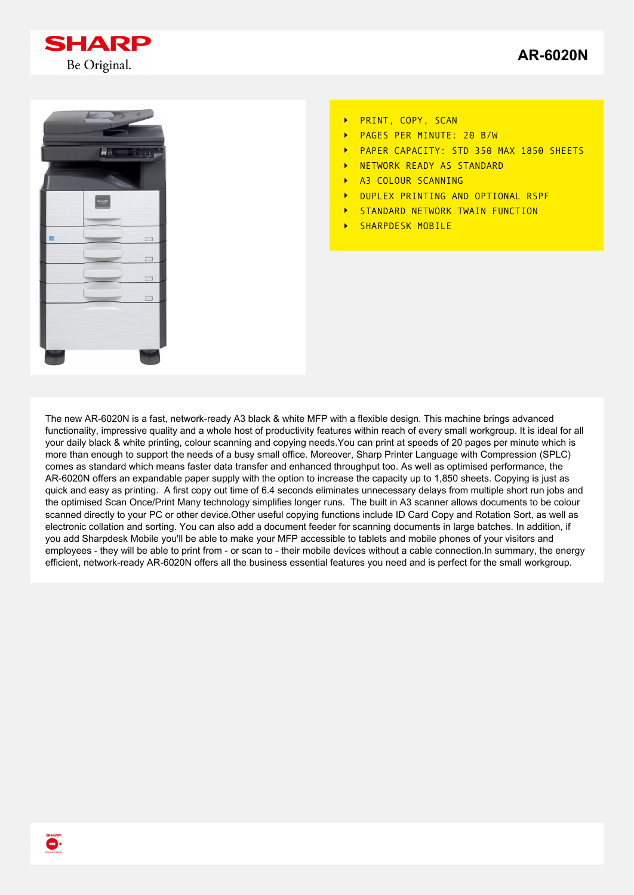



- PRINT, COPY, SCAN  $\ddot{\phantom{1}}$
- PAGES PER MINUTE: 20 B/W
- PAPER CAPACITY: STD 350 MAX 1850 SHEETS
- NETWORK READY AS STANDARD
- A3 COLOUR SCANNING  $\overline{\phantom{a}}$
- DUPLEX PRINTING AND OPTIONAL RSPF
- STANDARD NETWORK TWAIN FUNCTION  $\overline{\phantom{a}}$
- SHARPDESK MOBILE

The new AR-6020N is a fast, network-ready A3 black & white MFP with a flexible design. This machine brings advanced functionality, impressive quality and a whole host of productivity features within reach of every small workgroup. It is ideal for all your daily black & white printing, colour scanning and copying needs.You can print at speeds of 20 pages per minute which is more than enough to support the needs of a busy small office. Moreover, Sharp Printer Language with Compression (SPLC) comes as standard which means faster data transfer and enhanced throughput too. As well as optimised performance, the AR-6020N offers an expandable paper supply with the option to increase the capacity up to 1,850 sheets. Copying is just as quick and easy as printing. A first copy out time of 6.4 seconds eliminates unnecessary delays from multiple short run jobs and the optimised Scan Once/Print Many technology simplifies longer runs. The built in A3 scanner allows documents to be colour scanned directly to your PC or other device.Other useful copying functions include ID Card Copy and Rotation Sort, as well as electronic collation and sorting. You can also add a document feeder for scanning documents in large batches. In addition, if you add Sharpdesk Mobile you'll be able to make your MFP accessible to tablets and mobile phones of your visitors and employees - they will be able to print from - or scan to - their mobile devices without a cable connection.In summary, the energy efficient, network-ready AR-6020N offers all the business essential features you need and is perfect for the small workgroup.